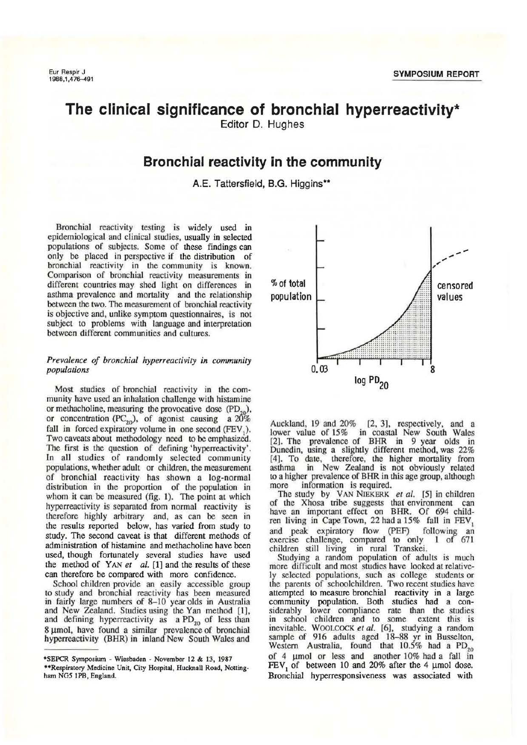# **The clinical significance of bronchial hyperreactivity\***

Editor D. Hughes

### **Bronchial reactivity in the community**

A.E. Tattersfield, B.G. Higgins\*\*

Bronchial reactivity testing is widely used in epidemiological and clinical studies, usually in selected populations of subjects. Some of these fmdings can only be placed in perspective if the distribution of bronchial reactivity in the community is known. Comparison of bronchial reactivity measurements in different countries may shed light on differences in asthma prevalence and mortality and the relationship between the two. The measurement of bronchial reactivity is objective and, unlike symptom questionnaires, is not subject to problems with language and interpretation between different communities and cultures.

#### *Prevalence of bronchial hyperreactivity in community populations*

Most studies of bronchial reactivity in the community have used an inhalation challenge with histamine or methacholine, measuring the provocative dose  $(PD_{20})$ , or concentration (PC<sub>20</sub>), of agonist causing a  $20\%$ fall in forced expiratory volume in one second  $(FEV_1)$ . Two caveats about methodology need to be emphasized. The first is the question of defining 'hyperreaclivity'. In all studies of randomly selected community populations, whether adult or children, the measurement of bronchial reactivity has shown a log-normal distribution in the proportion of the population in whom it can be measured (fig. 1). The point at which hyperreactivity is separated from normal reactivity is therefore highly arbitrary and, as can be seen in the results reported below, has varied from study to study. The second caveat is that different methods of administration of histamine and methacholine have been used, though fortunately several studies have used the method of YAN et al. [1] and the results of these can therefore be compared with more confidence.

School children provide an easily accessible group to study and bronchial reactivity has been measured in fairly large numbers of 8-10 year olds in Australia and New Zealand. Studies using the Yan method [1], and defining hyperreactivity as  $a PD_{20}$  of less than 8 µmol, have found a similar prevalence of bronchial hyperreactivity (BHR) in inland New South Wales and



Auckland, 19 and 20% [2, 3], respectively, and a lower value of 15% in coastal New South Wales [2). The prevalence of BHR in 9 year olds in Dunedin, using a slightly different method, was 22% [4]. To date, therefore, the higher mortality from asthma in New Zealand is not obviously related to a higher prevalence of BHR in this age group, although more information is required.

The study by VAN NIEKERK *et al.* [5] in children of the Xhosa tribe suggests that environment can have an important effect on BHR. Of 694 children living in Cape Town, 22 had a  $15\%$  fall in  $FEV_1$ and peak expiratory flow (PEF) following an exercise challenge, compared to only 1 of 671 children still living in rural Transkei.

Studying a random population of adults is much more difficult and most studies have looked at relatively selected populations, such as college students or the parents of schoolchildren. Two recent studies have attempted to measure bronchial reactivity in a large community population. Both studies had a considerably lower compliance rate than the studies in school children and to some extent this is inevitable. WOOLCOCK *et al.* [6], studying a random sample of 916 adults aged 18-88 yr in Busselton, Western Australia, found that  $10.5\%$  had a  $PD_{20}$ of 4  $\mu$ mol or less and another 10% had a fall in  $FEV<sub>1</sub>$  of between 10 and 20% after the 4 µmol dose. Bronchial hyperresponsiveness was associated with

<sup>•</sup>SEPCR Symposiwn - Wiesbaden - November 12 & 13, 1987 ••Respiratory Medicine Unit, City Hospital, Hucknall Road, Nottingham NG5 1PB, England.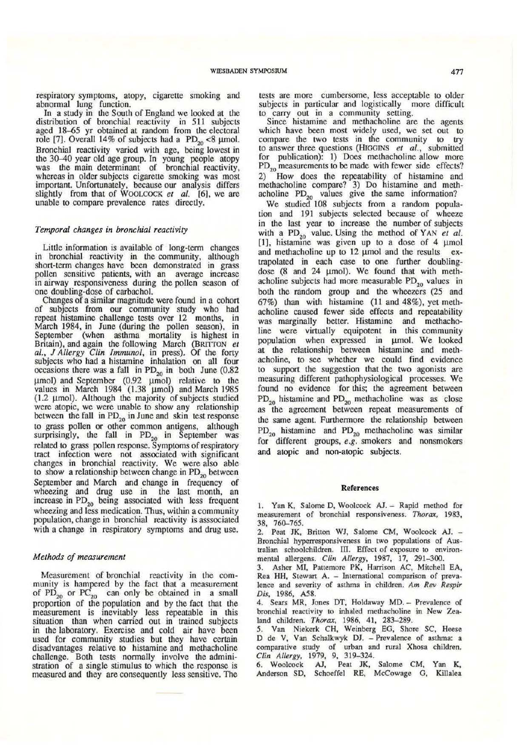In a study in the South of England we looked at the distribution of bronchial reactivity in 511 subjects aged 18-65 yr oblained at random from the electoral role [7]. Overall 14% of subjects had a  $PD_{20}$  <8 µmol. Bronchial reactivity varied with age, being lowest in the 30-40 year old age group. In young people atopy was the main determinant of bronchial reactivity, whereas in older subjects cigarette smoking was most important. Unfortunately, because our analysis differs slightly from that of WOOLCOCK et al. [6], we are unable to compare prevalence rates directly.

#### *Temporal changes in bronchial reactivity*

Little information is available of long-term changes in bronchial reactivity in the community, although short-term changes have been demonstrated in grass pollen sensitive patients, with an average increase in airway responsiveness during the pollen season of one doubling-dose of carbachol.

Changes of a similar magnitude were found in a cohort of subjects from our community study who had repeat histamine challenge tests over 12 months, in March 1984, in June (during the pollen season), in September (when asthma mortality is highest in Britain), and again the following March (BRITTON et *al.,* J *Allergy Clin lmmunol,* in press). Of the forty subjects who had a histamine inhalation on all four occasions there was a fall in  $PD_{20}$  in both June (0.82) µmol) and September (0.92 µmol) relative to the values in March 1984  $(1.38 \mu mol)$  and March 1985 (1.2  $\mu$ mol). Although the majority of subjects studied were atopic, we were unable to show any relationship between the fall in  $PD_{20}$  in June and skin test response to grass pollen or other common antigens, although surprisingly, the fall in  $PD_{20}$  in September was related to grass pollen response. Symptoms of respiratory tract infection were not associated with significant changes in bronchial reactivity. We were also able to show a relationship between change in  $PD_{20}$  between September and March and change in frequency of wheezing and drug use in the last month, an increase in  $PD_{20}$  being associated with less frequent wheezing and less medication. Thus, within a community population, change in bronchial reactivity is asssociated with a change in respiratory symptoms and drug use.

### *Methods of measurement*

Measurement of bronchial reactivity in the community is hampered by the fact that a measurement of  $PD_{20}$  or  $PC_{20}$  can only be obtained in a small proportion of the population and by the fact that the measurement is inevitably less repeatable in this situation than when carried out in trained subjects in the laboratory. Exercise and cold air have been used for community studies but they have certain disadvantages relative to histamine and methacholine challenge. Both tests normally involve the administration of a single stimulus to which the response is measured and they are consequently less sensitive. The

tests are more cumbersome, less acceptable to older subjects in particular and logistically more difficult to carry out in a community setting.

Since histamine and methacholine are the agents which have been most widely used, we set out to compare the two tests in the community to try to answer three questions (HrGGlNS *et al.,* submitted for publication): 1) Does methacholine allow more  $PD_{20}$  measurements to be made with fewer side effects? 2) How does the repcatability of histamine and methacholine compare? 3) Do histamine and methacholine  $PD_{20}$  values give the same information?

We studied 108 subjects from a random population and 191 subjects selected because of wheeze in the last year to increase the number of subjects with a  $PD_{20}$  value. Using the method of YAN *et al.*  $[1]$ , histamine was given up to a dose of 4  $\mu$ mol and methacholine up to 12 umol and the results extrapolated in each case to one further doublingdose  $(8 \text{ and } 24 \text{ \mu} \text{mol})$ . We found that with methacholine subjects had more measurable  $PD_{20}$  values in both the random group and the wheezers (25 and 67%) than with histamine (11 and 48%), yet methacholine caused fewer side effects and repeatability was marginally better. Histamine and methacholine were virtually equipotent in this community population when expressed in µmol. We looked at the relationship between histamine and methacholine, to see whether we could find evidence to support the suggestion that the two agonists are measuring different pathophysiological processes. We found no evidence for this; the agreement between  $PD_{20}$  histamine and  $PD_{20}$  methacholine was as close as the agreement between repeat measurements of the same agent. Furthermore the relationship between  $PD_{20}$  histamine and  $PD_{20}$  methacholine was similar for different groups, e.g. smokers and nonsmokers and atopic and non-atopic subjects.

#### References

1. Yan K, Salome D, Woolcock AJ. - Rapid method for measurement of bronchial responsiveness. *Thorax,* 1983, 38, 760-765.

2. Peat JK, Briuon WJ, SaJome CM, Woolcock *AI.* - Bronchial hyperresponsiveness in two populations of Australian schoolchildren. III. Effect of exposure to environmental allergens. *Clin Allergy,* 1987, 17, 291-300.

3. Asher MI, Pattemore PK, Harrison AC, Mitchell EA, Rea HH, Stewart A. - International comparison of prevalence and severity of asthma in children. *Am Rev Respir Dis,* 1986, A58.

4. Sears MR. Jones OT, Holdaway MD. - Prevalence of bronchial reactivity to inhaled methacholine in New Zealand children. *Thorax,* 1986, 41. 283-289.

*5.* Van Niekerk CH, Weinberg EG, Shore SC, Heese D de V, Van Schalkwyk DJ. - Prevalence of asthma: a comparative study of urban and rural Xhosa children. *Clin Allergy,* 1979, 9, 319-324.

6. Woolcock AJ, Peat JK, Salome CM, Yan K. Anderson SO. Schoeffel RE, McCowage G, Killalea